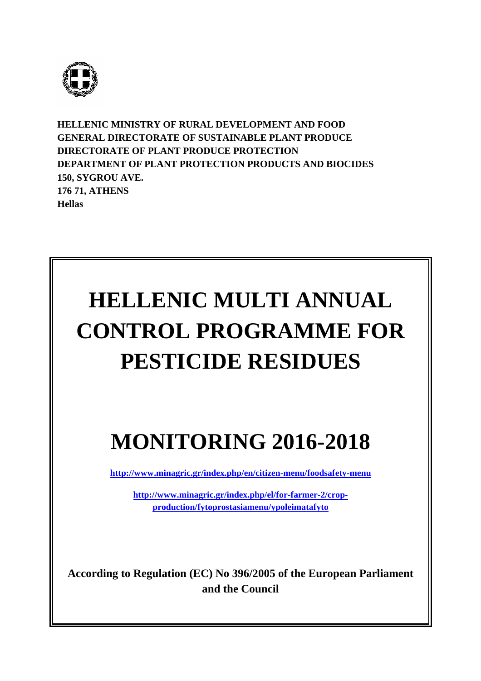

**HELLENIC MINISTRY OF RURAL DEVELOPMENT AND FOOD GENERAL DIRECTORATE OF SUSTAINABLE PLANT PRODUCE DIRECTORATE OF PLANT PRODUCE PROTECTION DEPARTMENT OF PLANT PROTECTION PRODUCTS AND BIOCIDES 150, SYGROU AVE. 176 71, ATHENS Hellas** 

# **HELLENIC MULTI ANNUAL CONTROL PROGRAMME FOR PESTICIDE RESIDUES**

## **MONITORING 2016-2018**

**http://www.minagric.gr/index.php/en/citizen-menu/foodsafety-menu**

**http://www.minagric.gr/index.php/el/for-farmer-2/cropproduction/fytoprostasiamenu/ypoleimatafyto**

**According to Regulation (EC) No 396/2005 of the European Parliament and the Council**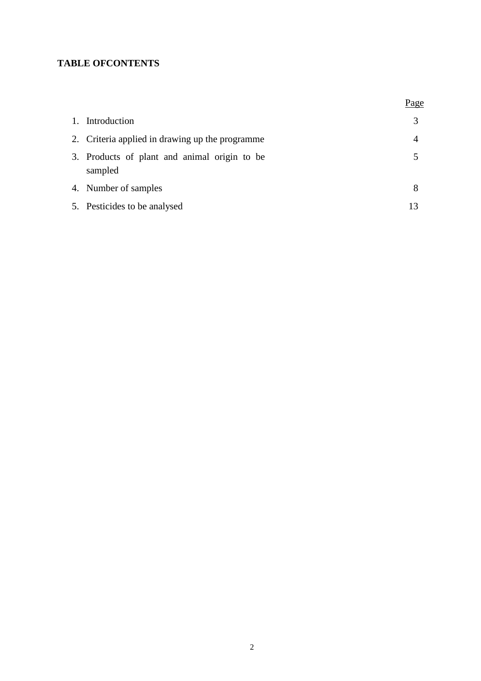## **TABLE OFCONTENTS**

|                                                         | Page |
|---------------------------------------------------------|------|
| 1. Introduction                                         |      |
| 2. Criteria applied in drawing up the programme         | 4    |
| 3. Products of plant and animal origin to be<br>sampled |      |
| 4. Number of samples                                    | 8    |
| 5. Pesticides to be analysed                            | 13   |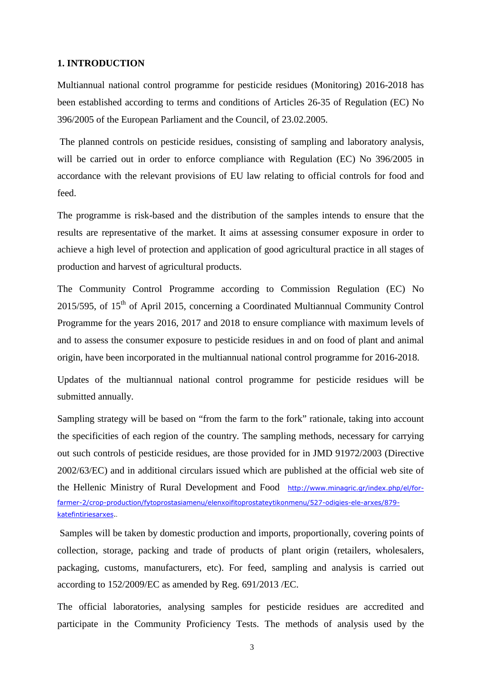#### **1. INTRODUCTION**

Multiannual national control programme for pesticide residues (Monitoring) 2016-2018 has been established according to terms and conditions of Articles 26-35 of Regulation (EC) No 396/2005 of the European Parliament and the Council, of 23.02.2005.

 The planned controls on pesticide residues, consisting of sampling and laboratory analysis, will be carried out in order to enforce compliance with Regulation (EC) No 396/2005 in accordance with the relevant provisions of EU law relating to official controls for food and feed.

The programme is risk-based and the distribution of the samples intends to ensure that the results are representative of the market. It aims at assessing consumer exposure in order to achieve a high level of protection and application of good agricultural practice in all stages of production and harvest of agricultural products.

The Community Control Programme according to Commission Regulation (EC) No 2015/595, of  $15<sup>th</sup>$  of April 2015, concerning a Coordinated Multiannual Community Control Programme for the years 2016, 2017 and 2018 to ensure compliance with maximum levels of and to assess the consumer exposure to pesticide residues in and on food of plant and animal origin, have been incorporated in the multiannual national control programme for 2016-2018.

Updates of the multiannual national control programme for pesticide residues will be submitted annually.

Sampling strategy will be based on "from the farm to the fork" rationale, taking into account the specificities of each region of the country. The sampling methods, necessary for carrying out such controls of pesticide residues, are those provided for in JMD 91972/2003 (Directive 2002/63/EC) and in additional circulars issued which are published at the official web site of the Hellenic Ministry of Rural Development and Food http://www.minagric.gr/index.php/el/forfarmer-2/crop-production/fytoprostasiamenu/elenxoifitoprostateytikonmenu/527-odigies-ele-arxes/879 katefintiriesarxes..

 Samples will be taken by domestic production and imports, proportionally, covering points of collection, storage, packing and trade of products of plant origin (retailers, wholesalers, packaging, customs, manufacturers, etc). For feed, sampling and analysis is carried out according to 152/2009/EC as amended by Reg. 691/2013 /EC.

The official laboratories, analysing samples for pesticide residues are accredited and participate in the Community Proficiency Tests. The methods of analysis used by the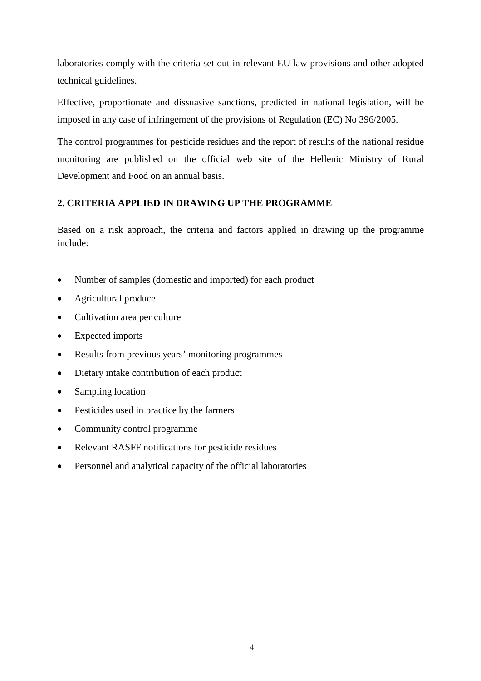laboratories comply with the criteria set out in relevant EU law provisions and other adopted technical guidelines.

Effective, proportionate and dissuasive sanctions, predicted in national legislation, will be imposed in any case of infringement of the provisions of Regulation (EC) No 396/2005.

The control programmes for pesticide residues and the report of results of the national residue monitoring are published on the official web site of the Hellenic Ministry of Rural Development and Food on an annual basis.

#### **2. CRITERIA APPLIED IN DRAWING UP THE PROGRAMME**

Based on a risk approach, the criteria and factors applied in drawing up the programme include:

- Number of samples (domestic and imported) for each product
- Agricultural produce
- Cultivation area per culture
- Expected imports
- Results from previous years' monitoring programmes
- Dietary intake contribution of each product
- Sampling location
- Pesticides used in practice by the farmers
- Community control programme
- Relevant RASFF notifications for pesticide residues
- Personnel and analytical capacity of the official laboratories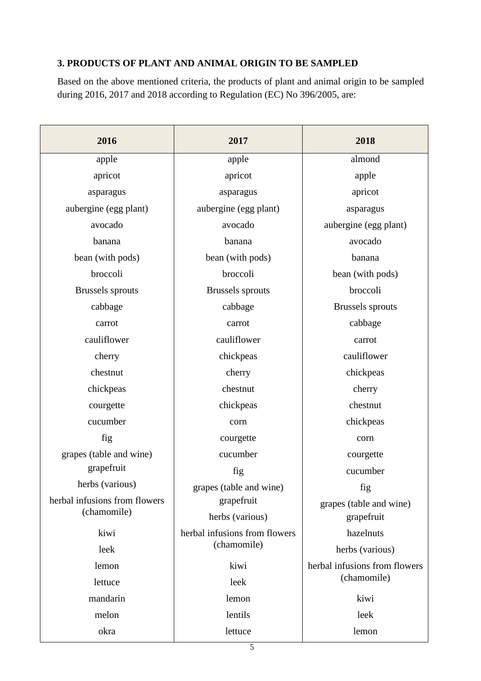#### **3. PRODUCTS OF PLANT AND ANIMAL ORIGIN TO BE SAMPLED**

Based on the above mentioned criteria, the products of plant and animal origin to be sampled during 2016, 2017 and 2018 according to Regulation (EC) No 396/2005, are:

| 2016                          | 2017                          | 2018                          |
|-------------------------------|-------------------------------|-------------------------------|
| apple                         | apple                         | almond                        |
| apricot                       | apricot                       | apple                         |
| asparagus                     | asparagus                     | apricot                       |
| aubergine (egg plant)         | aubergine (egg plant)         | asparagus                     |
| avocado                       | avocado                       | aubergine (egg plant)         |
| banana                        | banana                        | avocado                       |
| bean (with pods)              | bean (with pods)              | banana                        |
| broccoli                      | broccoli                      | bean (with pods)              |
| <b>Brussels</b> sprouts       | Brussels sprouts              | broccoli                      |
| cabbage                       | cabbage                       | Brussels sprouts              |
| carrot                        | carrot                        | cabbage                       |
| cauliflower                   | cauliflower                   | carrot                        |
| cherry                        | chickpeas                     | cauliflower                   |
| chestnut                      | cherry                        | chickpeas                     |
| chickpeas                     | chestnut                      | cherry                        |
| courgette                     | chickpeas                     | chestnut                      |
| cucumber                      | corn                          | chickpeas                     |
| fig                           | courgette                     | corn                          |
| grapes (table and wine)       | cucumber                      | courgette                     |
| grapefruit                    | fig                           | cucumber                      |
| herbs (various)               | grapes (table and wine)       | fig                           |
| herbal infusions from flowers | grapefruit                    | grapes (table and wine)       |
| (chamomile)                   | herbs (various)               | grapefruit                    |
| kiwi                          | herbal infusions from flowers | hazelnuts                     |
| leek                          | (chamomile)                   | herbs (various)               |
| lemon                         | kiwi                          | herbal infusions from flowers |
| lettuce                       | leek                          | (chamomile)                   |
| mandarin                      | lemon                         | kiwi                          |
| melon                         | lentils                       | leek                          |
| okra                          | lettuce                       | lemon                         |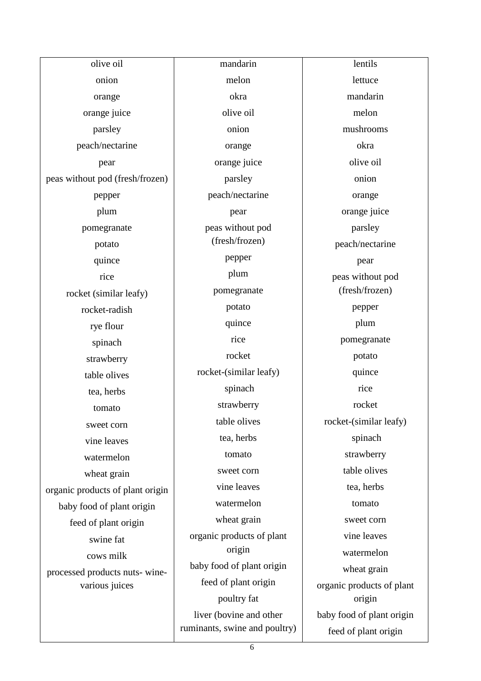olive oil onion orange orange juice parsley peach/nectarine pear peas without pod (fresh/frozen) pepper plum pomegranate potato quince rice rocket (similar leafy) rocket-radish rye flour spinach strawberry table olives tea, herbs tomato sweet corn vine leaves watermelon wheat grain organic products of plant origin baby food of plant origin feed of plant origin swine fat cows milk processed products nuts- winevarious juices

mandarin melon okra olive oil onion orange orange juice parsley peach/nectarine pear peas without pod (fresh/frozen) pepper plum pomegranate potato quince rice rocket rocket-(similar leafy) spinach strawberry table olives tea, herbs tomato sweet corn vine leaves watermelon wheat grain organic products of plant origin baby food of plant origin feed of plant origin poultry fat liver (bovine and other ruminants, swine and poultry)

lentils lettuce mandarin melon mushrooms okra olive oil onion orange orange juice parsley peach/nectarine pear peas without pod (fresh/frozen) pepper plum pomegranate potato quince rice rocket rocket-(similar leafy) spinach strawberry table olives tea, herbs tomato sweet corn vine leaves watermelon wheat grain organic products of plant origin baby food of plant origin feed of plant origin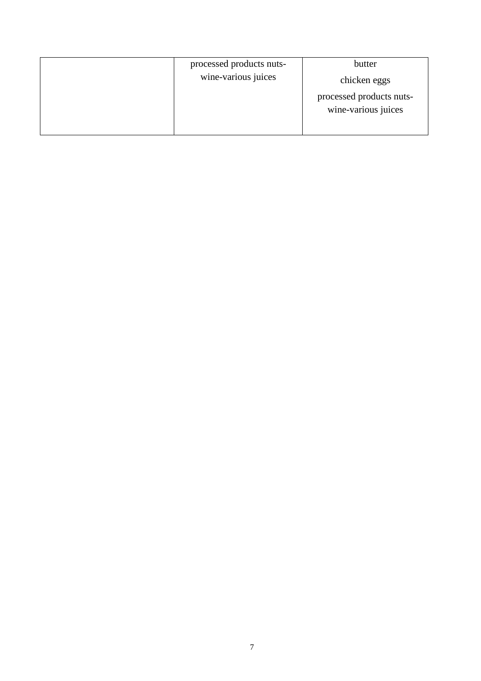| processed products nuts- | butter                                          |
|--------------------------|-------------------------------------------------|
| wine-various juices      | chicken eggs                                    |
|                          | processed products nuts-<br>wine-various juices |
|                          |                                                 |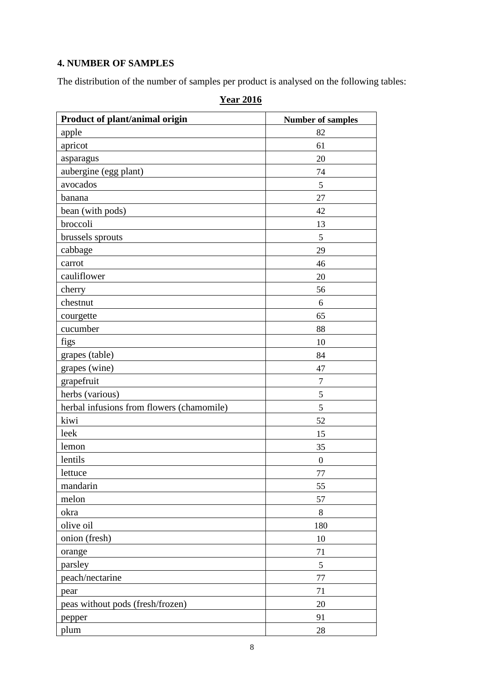## **4. NUMBER OF SAMPLES**

The distribution of the number of samples per product is analysed on the following tables:

| Product of plant/animal origin            | <b>Number of samples</b> |
|-------------------------------------------|--------------------------|
| apple                                     | 82                       |
| apricot                                   | 61                       |
| asparagus                                 | 20                       |
| aubergine (egg plant)                     | 74                       |
| avocados                                  | 5                        |
| banana                                    | 27                       |
| bean (with pods)                          | 42                       |
| broccoli                                  | 13                       |
| brussels sprouts                          | 5                        |
| cabbage                                   | 29                       |
| carrot                                    | 46                       |
| cauliflower                               | 20                       |
| cherry                                    | 56                       |
| chestnut                                  | 6                        |
| courgette                                 | 65                       |
| cucumber                                  | 88                       |
| figs                                      | 10                       |
| grapes (table)                            | 84                       |
| grapes (wine)                             | 47                       |
| grapefruit                                | $\tau$                   |
| herbs (various)                           | 5                        |
| herbal infusions from flowers (chamomile) | 5                        |
| kiwi                                      | 52                       |
| leek                                      | 15                       |
| lemon                                     | 35                       |
| lentils                                   | $\boldsymbol{0}$         |
| lettuce                                   | 77                       |
| mandarin                                  | 55                       |
| melon                                     | 57                       |
| okra                                      | 8                        |
| olive oil                                 | 180                      |
| onion (fresh)                             | 10                       |
| orange                                    | 71                       |
| parsley                                   | 5                        |
| peach/nectarine                           | $77 \,$                  |
| pear                                      | 71                       |
| peas without pods (fresh/frozen)          | 20                       |
| pepper                                    | 91                       |
| plum                                      | 28                       |

## **Year 2016**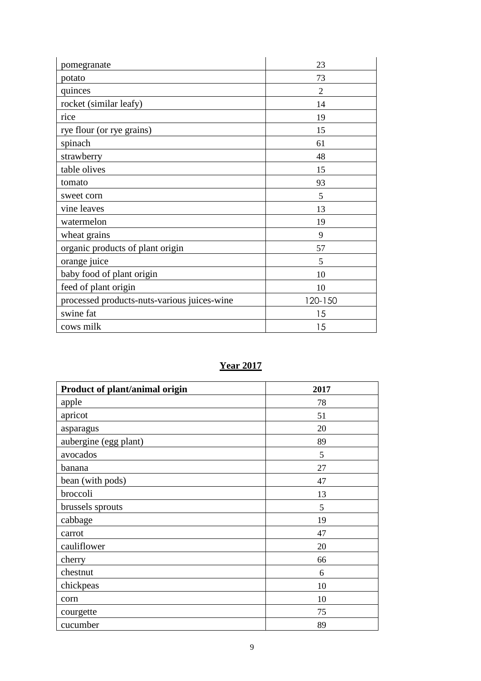| pomegranate                                 | 23             |
|---------------------------------------------|----------------|
| potato                                      | 73             |
| quinces                                     | $\overline{2}$ |
| rocket (similar leafy)                      | 14             |
| rice                                        | 19             |
| rye flour (or rye grains)                   | 15             |
| spinach                                     | 61             |
| strawberry                                  | 48             |
| table olives                                | 15             |
| tomato                                      | 93             |
| sweet corn                                  | 5              |
| vine leaves                                 | 13             |
| watermelon                                  | 19             |
| wheat grains                                | 9              |
| organic products of plant origin            | 57             |
| orange juice                                | 5              |
| baby food of plant origin                   | 10             |
| feed of plant origin                        | 10             |
| processed products-nuts-various juices-wine | 120-150        |
| swine fat                                   | 15             |
| cows milk                                   | 15             |

## **Year 2017**

| Product of plant/animal origin | 2017 |
|--------------------------------|------|
| apple                          | 78   |
| apricot                        | 51   |
| asparagus                      | 20   |
| aubergine (egg plant)          | 89   |
| avocados                       | 5    |
| banana                         | 27   |
| bean (with pods)               | 47   |
| broccoli                       | 13   |
| brussels sprouts               | 5    |
| cabbage                        | 19   |
| carrot                         | 47   |
| cauliflower                    | 20   |
| cherry                         | 66   |
| chestnut                       | 6    |
| chickpeas                      | 10   |
| corn                           | 10   |
| courgette                      | 75   |
| cucumber                       | 89   |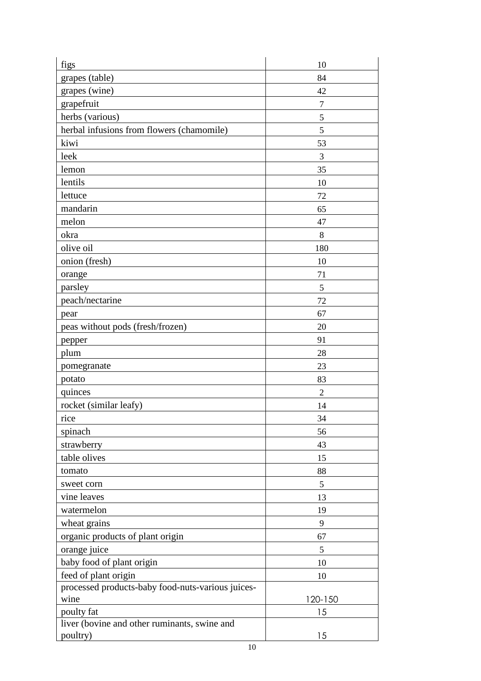| figs                                              | 10             |
|---------------------------------------------------|----------------|
| grapes (table)                                    | 84             |
| grapes (wine)                                     | 42             |
| grapefruit                                        | $\tau$         |
| herbs (various)                                   | 5              |
| herbal infusions from flowers (chamomile)         | 5              |
| kiwi                                              | 53             |
| leek                                              | 3              |
| lemon                                             | 35             |
| lentils                                           | 10             |
| lettuce                                           | 72             |
| mandarin                                          | 65             |
| melon                                             | 47             |
| okra                                              | 8              |
| olive oil                                         | 180            |
| onion (fresh)                                     | 10             |
| orange                                            | 71             |
| parsley                                           | 5              |
| peach/nectarine                                   | 72             |
| pear                                              | 67             |
| peas without pods (fresh/frozen)                  | 20             |
| pepper                                            | 91             |
| plum                                              | 28             |
| pomegranate                                       | 23             |
| potato                                            | 83             |
| quinces                                           | $\overline{2}$ |
| rocket (similar leafy)                            | 14             |
| rice                                              | 34             |
| spinach                                           | 56             |
| strawberry                                        | 43             |
| table olives                                      | 15             |
| tomato                                            | 88             |
| sweet corn                                        | 5              |
| vine leaves                                       | 13             |
| watermelon                                        | 19             |
| wheat grains                                      | 9              |
| organic products of plant origin                  | 67             |
| orange juice                                      | 5              |
| baby food of plant origin                         | 10             |
| feed of plant origin                              | 10             |
| processed products-baby food-nuts-various juices- |                |
| wine                                              | 120-150        |
| poulty fat                                        | 15             |
| liver (bovine and other ruminants, swine and      |                |
| poultry)                                          | 15             |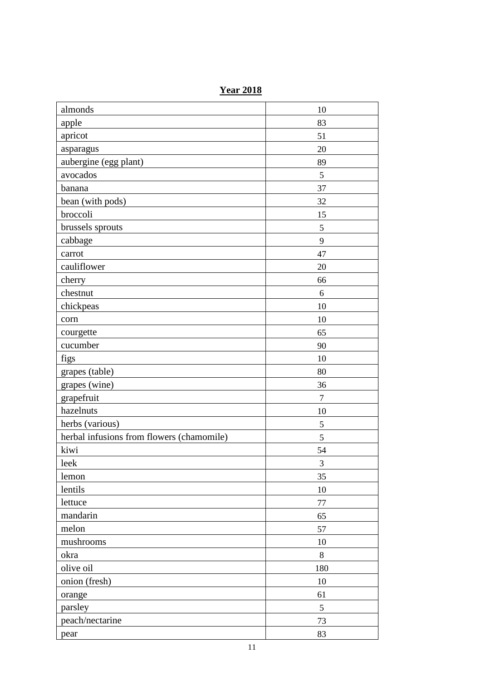**Year 2018**

| almonds                                   | 10             |
|-------------------------------------------|----------------|
| apple                                     | 83             |
| apricot                                   | 51             |
| asparagus                                 | 20             |
| aubergine (egg plant)                     | 89             |
| avocados                                  | 5              |
| banana                                    | 37             |
| bean (with pods)                          | 32             |
| broccoli                                  | 15             |
| brussels sprouts                          | 5              |
| cabbage                                   | 9              |
| carrot                                    | 47             |
| cauliflower                               | 20             |
| cherry                                    | 66             |
| chestnut                                  | 6              |
| chickpeas                                 | 10             |
| corn                                      | 10             |
| courgette                                 | 65             |
| cucumber                                  | 90             |
| figs                                      | 10             |
| grapes (table)                            | 80             |
| grapes (wine)                             | 36             |
| grapefruit                                | $\overline{7}$ |
| hazelnuts                                 | 10             |
| herbs (various)                           | 5              |
| herbal infusions from flowers (chamomile) | 5              |
| kiwi                                      | 54             |
| leek                                      | 3              |
| lemon                                     | 35             |
| lentils                                   | 10             |
| lettuce                                   | 77             |
| mandarin                                  | 65             |
| melon                                     | 57             |
| mushrooms                                 | 10             |
| okra                                      | 8              |
| olive oil                                 | 180            |
| onion (fresh)                             | 10             |
| orange                                    | 61             |
| parsley                                   | 5              |
| peach/nectarine                           | 73             |
| pear                                      | 83             |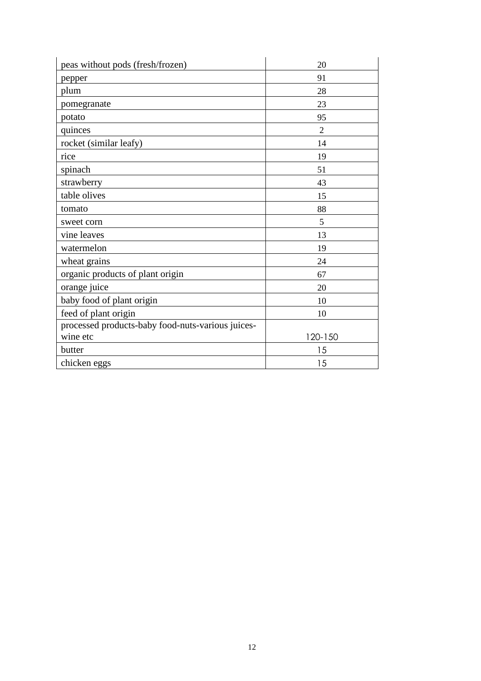| peas without pods (fresh/frozen)                  | 20             |
|---------------------------------------------------|----------------|
| pepper                                            | 91             |
| plum                                              | 28             |
| pomegranate                                       | 23             |
| potato                                            | 95             |
| quinces                                           | $\overline{2}$ |
| rocket (similar leafy)                            | 14             |
| rice                                              | 19             |
| spinach                                           | 51             |
| strawberry                                        | 43             |
| table olives                                      | 15             |
| tomato                                            | 88             |
| sweet corn                                        | 5              |
| vine leaves                                       | 13             |
| watermelon                                        | 19             |
| wheat grains                                      | 24             |
| organic products of plant origin                  | 67             |
| orange juice                                      | 20             |
| baby food of plant origin                         | 10             |
| feed of plant origin                              | 10             |
| processed products-baby food-nuts-various juices- |                |
| wine etc                                          | 120-150        |
| butter                                            | 15             |
| chicken eggs                                      | 15             |